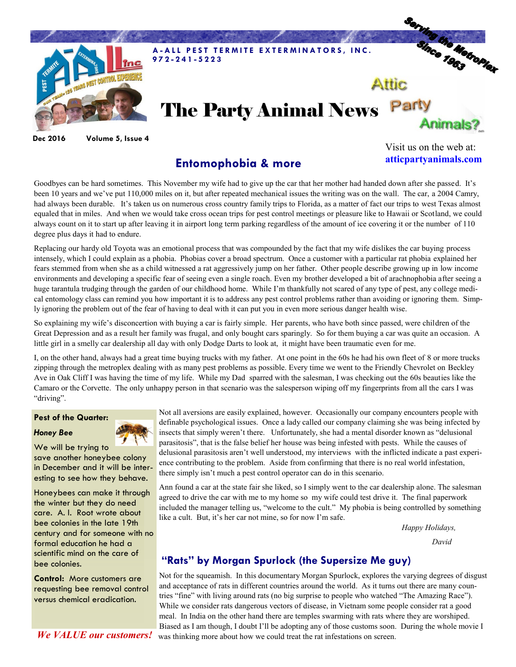

**Dec 2016 Volume 5, Issue 4**

**Entomophobia & more**

Visit us on the web at: **atticpartyanimals.com**

Goodbyes can be hard sometimes. This November my wife had to give up the car that her mother had handed down after she passed. It's been 10 years and we've put 110,000 miles on it, but after repeated mechanical issues the writing was on the wall. The car, a 2004 Camry, had always been durable. It's taken us on numerous cross country family trips to Florida, as a matter of fact our trips to west Texas almost equaled that in miles. And when we would take cross ocean trips for pest control meetings or pleasure like to Hawaii or Scotland, we could always count on it to start up after leaving it in airport long term parking regardless of the amount of ice covering it or the number of 110 degree plus days it had to endure.

Replacing our hardy old Toyota was an emotional process that was compounded by the fact that my wife dislikes the car buying process intensely, which I could explain as a phobia. Phobias cover a broad spectrum. Once a customer with a particular rat phobia explained her fears stemmed from when she as a child witnessed a rat aggressively jump on her father. Other people describe growing up in low income environments and developing a specific fear of seeing even a single roach. Even my brother developed a bit of arachnophobia after seeing a huge tarantula trudging through the garden of our childhood home. While I'm thankfully not scared of any type of pest, any college medical entomology class can remind you how important it is to address any pest control problems rather than avoiding or ignoring them. Simply ignoring the problem out of the fear of having to deal with it can put you in even more serious danger health wise.

So explaining my wife's disconcertion with buying a car is fairly simple. Her parents, who have both since passed, were children of the Great Depression and as a result her family was frugal, and only bought cars sparingly. So for them buying a car was quite an occasion. A little girl in a smelly car dealership all day with only Dodge Darts to look at, it might have been traumatic even for me.

I, on the other hand, always had a great time buying trucks with my father. At one point in the 60s he had his own fleet of 8 or more trucks zipping through the metroplex dealing with as many pest problems as possible. Every time we went to the Friendly Chevrolet on Beckley Ave in Oak Cliff I was having the time of my life. While my Dad sparred with the salesman, I was checking out the 60s beauties like the Camaro or the Corvette. The only unhappy person in that scenario was the salesperson wiping off my fingerprints from all the cars I was "driving".

## **Pest of the Quarter:**





We will be trying to save another honeybee colony in December and it will be interesting to see how they behave.

Honeybees can make it through the winter but they do need care. A. I. Root wrote about bee colonies in the late 19th century and for someone with no formal education he had a scientific mind on the care of bee colonies.

**Control:** More customers are requesting bee removal control versus chemical eradication.

*We VALUE our customers!*

Not all aversions are easily explained, however. Occasionally our company encounters people with definable psychological issues. Once a lady called our company claiming she was being infected by insects that simply weren't there. Unfortunately, she had a mental disorder known as "delusional parasitosis", that is the false belief her house was being infested with pests. While the causes of delusional parasitosis aren't well understood, my interviews with the inflicted indicate a past experience contributing to the problem. Aside from confirming that there is no real world infestation, there simply isn't much a pest control operator can do in this scenario.

Ann found a car at the state fair she liked, so I simply went to the car dealership alone. The salesman agreed to drive the car with me to my home so my wife could test drive it. The final paperwork included the manager telling us, "welcome to the cult." My phobia is being controlled by something like a cult. But, it's her car not mine, so for now I'm safe.

*Happy Holidays,*

 *David* 

## **"Rats" by Morgan Spurlock (the Supersize Me guy)**

Not for the squeamish. In this documentary Morgan Spurlock, explores the varying degrees of disgust and acceptance of rats in different countries around the world. As it turns out there are many countries "fine" with living around rats (no big surprise to people who watched "The Amazing Race"). While we consider rats dangerous vectors of disease, in Vietnam some people consider rat a good meal. In India on the other hand there are temples swarming with rats where they are worshiped. Biased as I am though, I doubt I'll be adopting any of those customs soon. During the whole movie I was thinking more about how we could treat the rat infestations on screen.